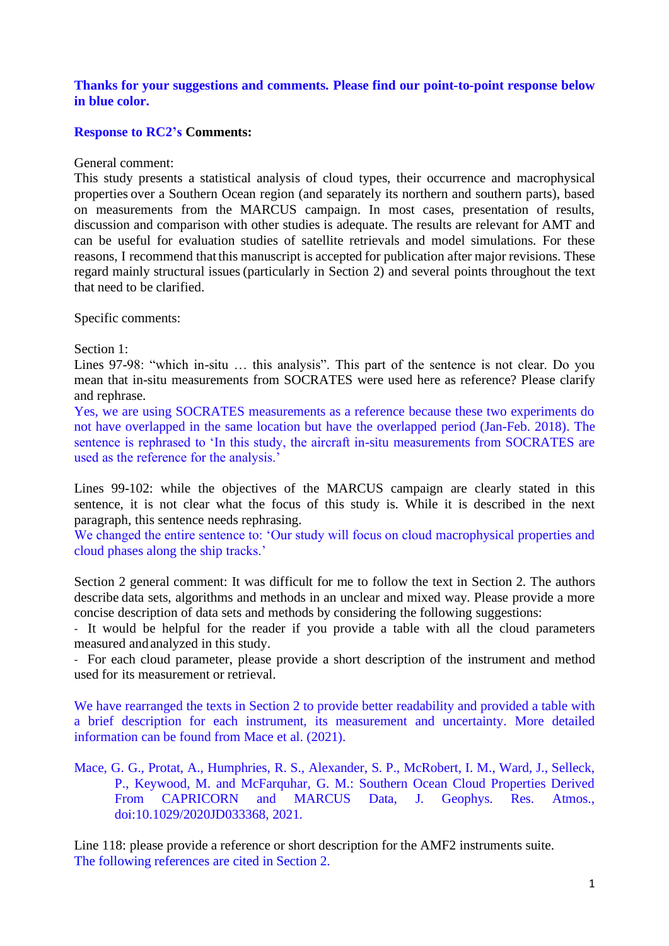## **Thanks for your suggestions and comments. Please find our point-to-point response below in blue color.**

## **Response to RC2's Comments:**

General comment:

This study presents a statistical analysis of cloud types, their occurrence and macrophysical properties over a Southern Ocean region (and separately its northern and southern parts), based on measurements from the MARCUS campaign. In most cases, presentation of results, discussion and comparison with other studies is adequate. The results are relevant for AMT and can be useful for evaluation studies of satellite retrievals and model simulations. For these reasons, I recommend that this manuscript is accepted for publication after major revisions. These regard mainly structural issues(particularly in Section 2) and several points throughout the text that need to be clarified.

Specific comments:

Section 1:

Lines 97-98: "which in-situ … this analysis". This part of the sentence is not clear. Do you mean that in-situ measurements from SOCRATES were used here as reference? Please clarify and rephrase.

Yes, we are using SOCRATES measurements as a reference because these two experiments do not have overlapped in the same location but have the overlapped period (Jan-Feb. 2018). The sentence is rephrased to 'In this study, the aircraft in-situ measurements from SOCRATES are used as the reference for the analysis.'

Lines 99-102: while the objectives of the MARCUS campaign are clearly stated in this sentence, it is not clear what the focus of this study is. While it is described in the next paragraph, this sentence needs rephrasing.

We changed the entire sentence to: 'Our study will focus on cloud macrophysical properties and cloud phases along the ship tracks.'

Section 2 general comment: It was difficult for me to follow the text in Section 2. The authors describe data sets, algorithms and methods in an unclear and mixed way. Please provide a more concise description of data sets and methods by considering the following suggestions:

- It would be helpful for the reader if you provide a table with all the cloud parameters measured andanalyzed in this study.

- For each cloud parameter, please provide a short description of the instrument and method used for its measurement or retrieval.

We have rearranged the texts in Section 2 to provide better readability and provided a table with a brief description for each instrument, its measurement and uncertainty. More detailed information can be found from Mace et al. (2021).

Mace, G. G., Protat, A., Humphries, R. S., Alexander, S. P., McRobert, I. M., Ward, J., Selleck, P., Keywood, M. and McFarquhar, G. M.: Southern Ocean Cloud Properties Derived From CAPRICORN and MARCUS Data, J. Geophys. Res. Atmos., doi:10.1029/2020JD033368, 2021.

Line 118: please provide a reference or short description for the AMF2 instruments suite. The following references are cited in Section 2.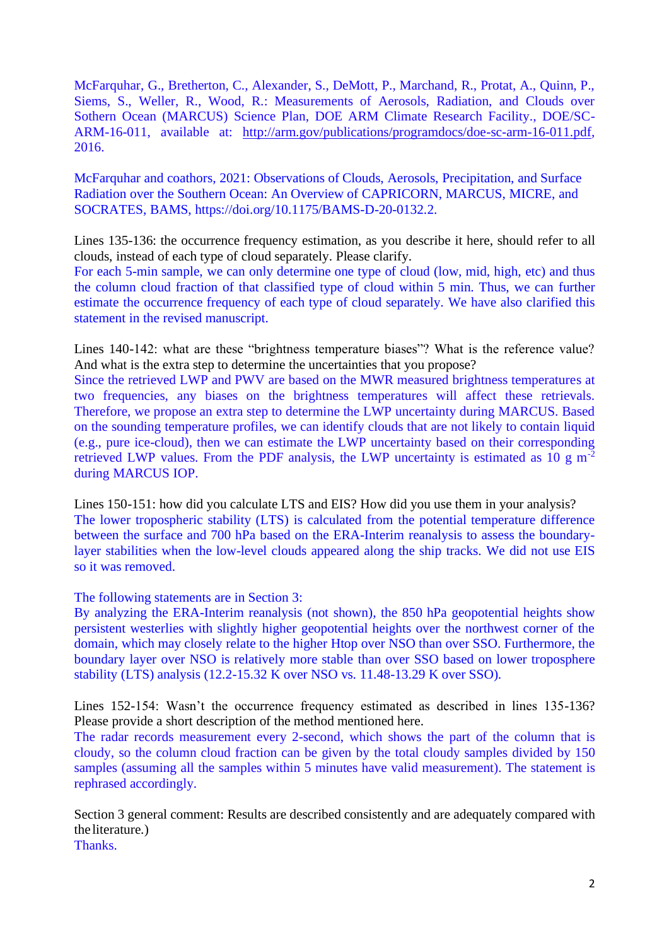McFarquhar, G., Bretherton, C., Alexander, S., DeMott, P., Marchand, R., Protat, A., Quinn, P., Siems, S., Weller, R., Wood, R.: Measurements of Aerosols, Radiation, and Clouds over Sothern Ocean (MARCUS) Science Plan, DOE ARM Climate Research Facility., DOE/SC-ARM-16-011, available at: [http://arm.gov/publications/programdocs/doe-sc-arm-16-011.pdf,](http://arm.gov/publications/programdocs/doe-sc-arm-16-011.pdf) 2016.

McFarquhar and coathors, 2021: Observations of Clouds, Aerosols, Precipitation, and Surface Radiation over the Southern Ocean: An Overview of CAPRICORN, MARCUS, MICRE, and SOCRATES, BAMS, https://doi.org/10.1175/BAMS-D-20-0132.2.

Lines 135-136: the occurrence frequency estimation, as you describe it here, should refer to all clouds, instead of each type of cloud separately. Please clarify.

For each 5-min sample, we can only determine one type of cloud (low, mid, high, etc) and thus the column cloud fraction of that classified type of cloud within 5 min. Thus, we can further estimate the occurrence frequency of each type of cloud separately. We have also clarified this statement in the revised manuscript.

Lines 140-142: what are these "brightness temperature biases"? What is the reference value? And what is the extra step to determine the uncertainties that you propose?

Since the retrieved LWP and PWV are based on the MWR measured brightness temperatures at two frequencies, any biases on the brightness temperatures will affect these retrievals. Therefore, we propose an extra step to determine the LWP uncertainty during MARCUS. Based on the sounding temperature profiles, we can identify clouds that are not likely to contain liquid (e.g., pure ice-cloud), then we can estimate the LWP uncertainty based on their corresponding retrieved LWP values. From the PDF analysis, the LWP uncertainty is estimated as 10 g  $m^{-2}$ during MARCUS IOP.

Lines 150-151: how did you calculate LTS and EIS? How did you use them in your analysis? The lower tropospheric stability (LTS) is calculated from the potential temperature difference between the surface and 700 hPa based on the ERA-Interim reanalysis to assess the boundarylayer stabilities when the low-level clouds appeared along the ship tracks. We did not use EIS so it was removed.

The following statements are in Section 3:

By analyzing the ERA-Interim reanalysis (not shown), the 850 hPa geopotential heights show persistent westerlies with slightly higher geopotential heights over the northwest corner of the domain, which may closely relate to the higher Htop over NSO than over SSO. Furthermore, the boundary layer over NSO is relatively more stable than over SSO based on lower troposphere stability (LTS) analysis (12.2-15.32 K over NSO vs. 11.48-13.29 K over SSO).

Lines 152-154: Wasn't the occurrence frequency estimated as described in lines 135-136? Please provide a short description of the method mentioned here.

The radar records measurement every 2-second, which shows the part of the column that is cloudy, so the column cloud fraction can be given by the total cloudy samples divided by 150 samples (assuming all the samples within 5 minutes have valid measurement). The statement is rephrased accordingly.

Section 3 general comment: Results are described consistently and are adequately compared with the literature.)

Thanks.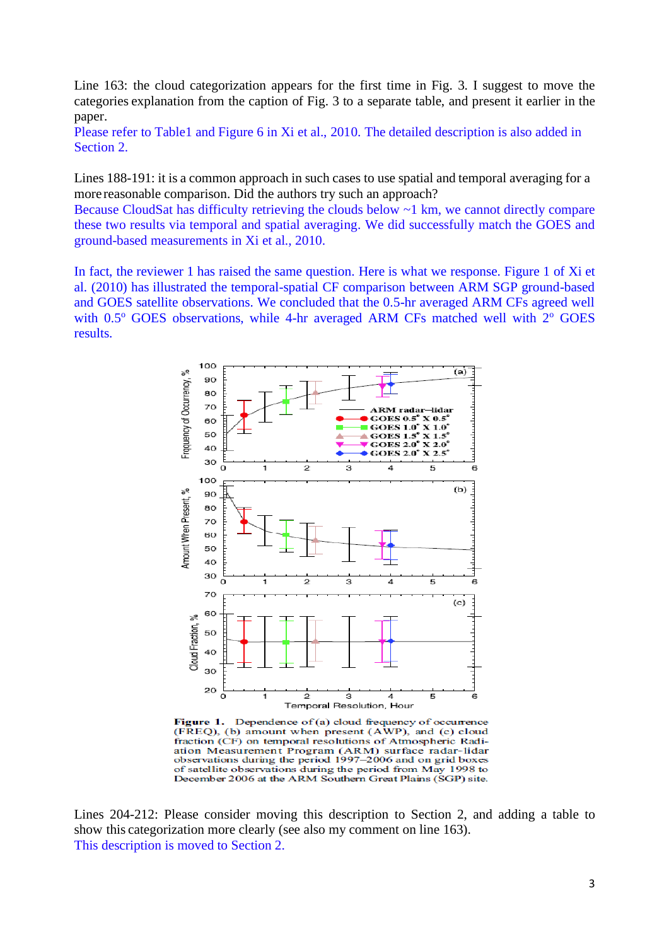Line 163: the cloud categorization appears for the first time in Fig. 3. I suggest to move the categories explanation from the caption of Fig. 3 to a separate table, and present it earlier in the paper.

Please refer to Table1 and Figure 6 in Xi et al., 2010. The detailed description is also added in Section 2.

Lines 188-191: it is a common approach in such cases to use spatial and temporal averaging for a more reasonable comparison. Did the authors try such an approach?

Because CloudSat has difficulty retrieving the clouds below ~1 km, we cannot directly compare these two results via temporal and spatial averaging. We did successfully match the GOES and ground-based measurements in Xi et al., 2010.

In fact, the reviewer 1 has raised the same question. Here is what we response. Figure 1 of Xi et al. (2010) has illustrated the temporal-spatial CF comparison between ARM SGP ground-based and GOES satellite observations. We concluded that the 0.5-hr averaged ARM CFs agreed well with  $0.5^{\circ}$  GOES observations, while 4-hr averaged ARM CFs matched well with  $2^{\circ}$  GOES results.



Dependence of (a) cloud frequency of occurrence Figure 1. (FREQ), (b) amount when present (AWP), and (c) cloud fraction (CF) on temporal resolutions of Atmospheric Radiation Measurement Program (ARM) surface radar-lidar observations during the period 1997-2006 and on grid boxes of satellite observations during the period from May 1998 to December 2006 at the ARM Southern Great Plains (SGP) site.

Lines 204-212: Please consider moving this description to Section 2, and adding a table to show this categorization more clearly (see also my comment on line 163). This description is moved to Section 2.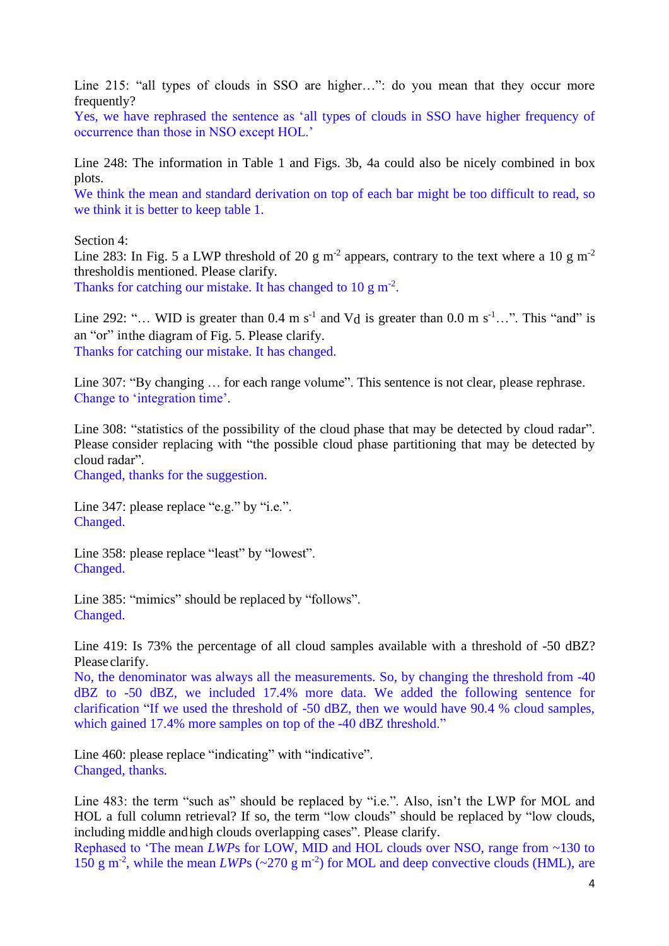Line 215: "all types of clouds in SSO are higher…": do you mean that they occur more frequently?

Yes, we have rephrased the sentence as 'all types of clouds in SSO have higher frequency of occurrence than those in NSO except HOL.'

Line 248: The information in Table 1 and Figs. 3b, 4a could also be nicely combined in box plots.

We think the mean and standard derivation on top of each bar might be too difficult to read, so we think it is better to keep table 1.

Section 4:

Line 283: In Fig. 5 a LWP threshold of 20 g m<sup>-2</sup> appears, contrary to the text where a 10 g m<sup>-2</sup> thresholdis mentioned. Please clarify. Thanks for catching our mistake. It has changed to  $10 \text{ g m}^{-2}$ .

Line 292: "... WID is greater than  $0.4 \text{ m s}^{-1}$  and Vd is greater than  $0.0 \text{ m s}^{-1}$ ...". This "and" is an "or" inthe diagram of Fig. 5. Please clarify. Thanks for catching our mistake. It has changed.

Line 307: "By changing ... for each range volume". This sentence is not clear, please rephrase. Change to 'integration time'.

Line 308: "statistics of the possibility of the cloud phase that may be detected by cloud radar". Please consider replacing with "the possible cloud phase partitioning that may be detected by cloud radar".

Changed, thanks for the suggestion.

Line 347: please replace "e.g." by "i.e.". Changed.

Line 358: please replace "least" by "lowest". Changed.

Line 385: "mimics" should be replaced by "follows". Changed.

Line 419: Is 73% the percentage of all cloud samples available with a threshold of -50 dBZ? Please clarify.

No, the denominator was always all the measurements. So, by changing the threshold from -40 dBZ to -50 dBZ, we included 17.4% more data. We added the following sentence for clarification "If we used the threshold of -50 dBZ, then we would have 90.4 % cloud samples, which gained 17.4% more samples on top of the -40 dBZ threshold."

Line 460: please replace "indicating" with "indicative". Changed, thanks.

Line 483: the term "such as" should be replaced by "i.e.". Also, isn't the LWP for MOL and HOL a full column retrieval? If so, the term "low clouds" should be replaced by "low clouds, including middle andhigh clouds overlapping cases". Please clarify.

Rephased to 'The mean *LWP*s for LOW, MID and HOL clouds over NSO, range from ~130 to 150 g m<sup>-2</sup>, while the mean *LWP*s ( $\sim$ 270 g m<sup>-2</sup>) for MOL and deep convective clouds (HML), are